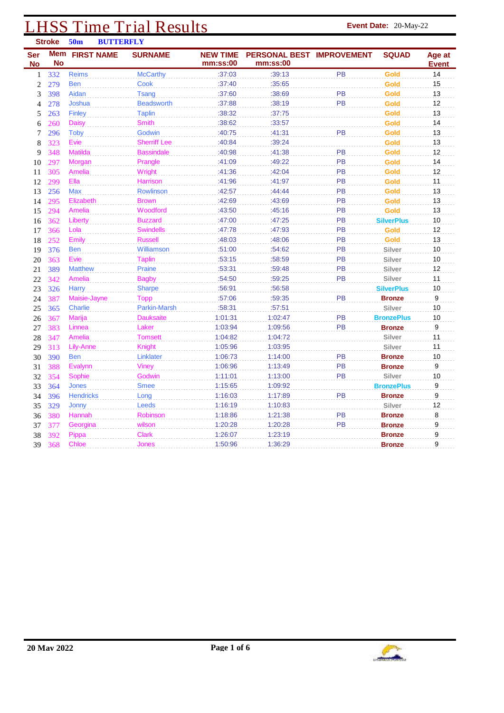# **LHSS Time Trial Results Event Date:** 20-May-22<br> **Event Date:** 20-May-22

|                  | <b>Stroke</b>    | 50 <sub>m</sub>   | <b>BUTTERFLY</b> |                     |                             |                                       |           |                   |                        |
|------------------|------------------|-------------------|------------------|---------------------|-----------------------------|---------------------------------------|-----------|-------------------|------------------------|
| Ser<br><b>No</b> | Mem<br><b>No</b> | <b>FIRST NAME</b> |                  | <b>SURNAME</b>      | <b>NEW TIME</b><br>mm:ss:00 | PERSONAL BEST IMPROVEMENT<br>mm:ss:00 |           | <b>SQUAD</b>      | Age at<br><b>Event</b> |
| $\mathbf{1}$     | 332              | Reims             |                  | <b>McCarthy</b>     | :37:03                      | :39:13                                | PB        | Gold              | 14                     |
| $\boldsymbol{2}$ | 279              | <b>Ben</b>        |                  | <b>Cook</b>         | :37:40                      | :35:65                                |           | <b>Gold</b>       | 15                     |
| 3                | 398              | Aidan             |                  | <b>Tsang</b>        | :37:60                      | :38:69                                | PB        | Gold              | 13                     |
| 4                | 278              | Joshua            |                  | <b>Beadsworth</b>   | :37:88                      | :38:19                                | PB        | Gold              | 12                     |
| 5                | 263              | <b>Finley</b>     |                  | <b>Taplin</b>       | :38:32                      | :37:75                                |           | Gold              | 13                     |
| 6                | 260              | <b>Daisy</b>      |                  | <b>Smith</b>        | :38:62                      | :33:57                                |           | Gold              | 14                     |
| 7                | 296              | Toby              |                  | Godwin              | :40:75                      | :41:31                                | PB        | Gold              | 13                     |
| 8                | 323              | Evie              |                  | <b>Sherriff Lee</b> | :40:84                      | :39:24                                |           | Gold              | 13                     |
| 9                | 348              | <b>Matilda</b>    |                  | <b>Bassindale</b>   | :40:98                      | :41:38                                | PB        | Gold              | 12                     |
| 10               | 297              | Morgan            |                  | Prangle             | :41:09                      | :49:22                                | <b>PB</b> | Gold              | 14                     |
| 11               | 305              | Amelia            |                  | Wright              | :41:36                      | :42:04                                | <b>PB</b> | Gold              | 12                     |
| 12               | 299              | Ella              |                  | <b>Harrison</b>     | :41:96                      | :41:97                                | PB        | Gold              | 11                     |
| 13               | 256              | <b>Max</b>        |                  | Rowlinson           | :42:57                      | :44:44                                | PB        | Gold              | 13                     |
| 14               | 295              | Elizabeth         |                  | <b>Brown</b>        | :42:69                      | :43:69                                | PB        | Gold              | 13                     |
| 15               | 294              | Amelia            |                  | Woodford            | :43:50                      | :45:16                                | <b>PB</b> | Gold              | 13                     |
| 16               | 362              | Liberty           |                  | <b>Buzzard</b>      | :47:00                      | :47:25                                | PB        | <b>SilverPlus</b> | 10                     |
| 17               | 366              | Lola              |                  | <b>Swindells</b>    | :47:78                      | :47:93                                | PB        | <b>Gold</b>       | 12                     |
| 18               | 252              | Emily             |                  | <b>Russell</b>      | :48:03                      | :48:06                                | PB        | Gold              | 13                     |
| 19               | 376              | <b>Ben</b>        |                  | Williamson          | :51:00                      | :54:62                                | PB        | Silver            | 10                     |
| 20               | 363              | Evie              |                  | <b>Taplin</b>       | :53:15                      | :58:59                                | PB        | Silver            | 10                     |
| 21               | 389              | <b>Matthew</b>    |                  | <b>Praine</b>       | :53:31                      | :59:48                                | PB        | Silver            | 12                     |
| 22               | 342              | <b>Amelia</b>     |                  | <b>Bagby</b>        | :54:50                      | :59:25                                | PB        | Silver            | 11                     |
| 23               | 326              | <b>Harry</b>      |                  | <b>Sharpe</b>       | :56:91                      | :56:58                                |           | <b>SilverPlus</b> | 10                     |
| 24               | 387              | Maisie-Jayne      |                  | <b>Topp</b>         | :57:06                      | :59:35                                | PB        | <b>Bronze</b>     | $\boldsymbol{9}$       |
| 25               | 365              | Charlie           |                  | Parkin-Marsh        | :58:31                      | :57:51                                |           | Silver            | 10                     |
| 26               | 367              | <b>Marija</b>     |                  | <b>Dauksaite</b>    | 1:01:31                     | 1:02:47                               | <b>PB</b> | <b>BronzePlus</b> | 10                     |
| 27               | 383              | Linnea            |                  | Laker               | 1:03:94                     | 1:09:56                               | PB        | <b>Bronze</b>     | 9                      |
| 28               | 347              | Amelia            |                  | <b>Tomsett</b>      | 1:04:82                     | 1:04:72                               |           | Silver            | 11                     |
| 29               | 313              | Lily-Anne         |                  | <b>Knight</b>       | 1:05:96                     | 1:03:95                               |           | Silver            | 11                     |
| 30               | 390              | <b>Ben</b>        |                  | Linklater           | 1:06:73                     | 1:14:00                               | PB        | <b>Bronze</b>     | 10                     |
| 31               | 388              | Evalynn           |                  | <b>Viney</b>        | 1:06:96                     | 1:13:49                               | PB        | <b>Bronze</b>     | 9                      |
| 32               | 354              | Sophie            |                  | Godwin              | 1:11:01                     | 1:13:00                               | PB        | Silver            | 10                     |
| 33               | 364              | <b>Jones</b>      |                  | <b>Smee</b>         | 1:15:65                     | 1:09:92                               |           | <b>BronzePlus</b> | 9                      |
| 34               | 396              | <b>Hendricks</b>  |                  | Long                | 1:16:03                     | 1:17:89                               | PB        | <b>Bronze</b>     | 9                      |
| 35               | 329              | <b>Jonny</b>      |                  | Leeds               | 1:16:19                     | 1:10:83                               |           | Silver            | 12                     |
| 36               | 380              | Hannah            |                  | Robinson            | 1:18:86                     | 1:21:38                               | PB        | <b>Bronze</b>     | 8                      |
| 37               | 377              | Georgina          |                  | wilson              | 1:20:28                     | 1:20:28                               | <b>PB</b> | <b>Bronze</b>     | 9                      |
| 38               | 392              | Pippa             |                  | <b>Clark</b>        | 1:26:07                     | 1:23:19                               |           | <b>Bronze</b>     | 9                      |
| 39               | 368              | Chloe             |                  | Jones               | 1:50:96                     | 1:36:29                               |           | <b>Bronze</b>     | 9                      |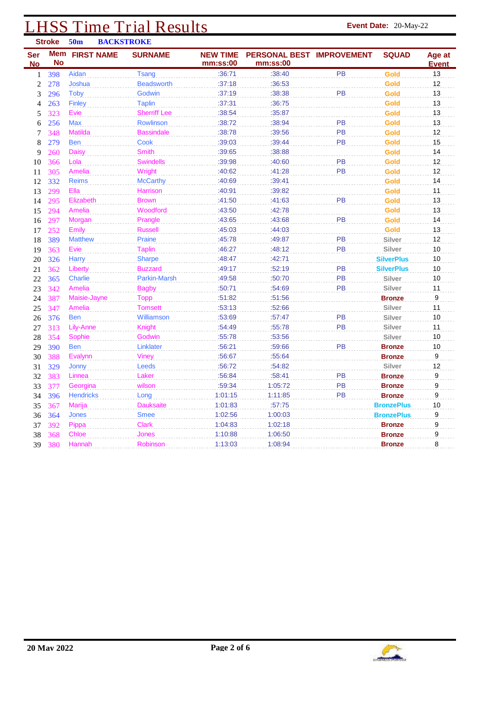| <b>Stroke</b><br>50 <sub>m</sub><br><b>BACKSTROKE</b> |           |                       |                     |                             |                                       |           |                   |                        |
|-------------------------------------------------------|-----------|-----------------------|---------------------|-----------------------------|---------------------------------------|-----------|-------------------|------------------------|
| Ser<br><b>No</b>                                      | <b>No</b> | <b>Mem FIRST NAME</b> | <b>SURNAME</b>      | <b>NEW TIME</b><br>mm:ss:00 | PERSONAL BEST IMPROVEMENT<br>mm:ss:00 |           | <b>SQUAD</b>      | Age at<br><b>Event</b> |
| 1                                                     | 398       | Aidan                 | Tsang               | :36:71                      | :38:40                                | PB        | <b>Gold</b>       | 13                     |
| $\boldsymbol{2}$                                      | 278       | Joshua                | <b>Beadsworth</b>   | :37:18                      | :36:53                                |           | Gold              | 12                     |
| 3                                                     | 296       | Toby                  | Godwin              | :37:19                      | :38:38                                | PB        | Gold              | 13                     |
| 4                                                     | 263       | <b>Finley</b>         | <b>Taplin</b>       | :37:31                      | :36:75                                |           | Gold              | 13                     |
| 5                                                     | 323       | Evie                  | <b>Sherriff Lee</b> | :38:54                      | :35:87                                |           | <b>Gold</b>       | 13                     |
| 6                                                     | 256       | <b>Max</b>            | <b>Rowlinson</b>    | :38:72                      | :38:94                                | PB        | Gold              | 13                     |
| 7                                                     | 348       | <b>Matilda</b>        | <b>Bassindale</b>   | :38:78                      | :39:56                                | PB        | Gold              | 12                     |
| 8                                                     | 279       | <b>Ben</b>            | Cook                | :39:03                      | :39:44                                | <b>PB</b> | <b>Gold</b>       | 15                     |
| 9                                                     | 260       | <b>Daisy</b>          | <b>Smith</b>        | :39:65                      | :38:88                                |           | Gold              | 14                     |
| 10                                                    | 366       | Lola                  | <b>Swindells</b>    | :39:98                      | :40:60                                | PB        | Gold              | 12                     |
| 11                                                    | 305       | Amelia                | Wright              | :40:62                      | :41:28                                | <b>PB</b> | Gold              | 12                     |
| 12                                                    | 332       | <b>Reims</b>          | <b>McCarthy</b>     | :40:69                      | :39:41                                |           | Gold              | 14                     |
| 13                                                    | 299       | Ella                  | <b>Harrison</b>     | :40:91                      | :39:82                                |           | <b>Gold</b>       | 11                     |
| 14                                                    | 295       | Elizabeth             | <b>Brown</b>        | :41:50                      | :41:63                                | PB        | Gold              | 13                     |
| 15                                                    | 294       | Amelia                | Woodford            | :43:50                      | :42:78                                |           | Gold              | 13                     |
| 16                                                    | 297       | Morgan                | Prangle             | :43:65                      | :43:68                                | PB        | Gold              | 14                     |
| 17                                                    | 252       | Emily                 | <b>Russell</b>      | :45:03                      | :44:03                                |           | <b>Gold</b>       | 13                     |
| 18                                                    | 389       | <b>Matthew</b>        | Praine              | :45:78                      | :49:87                                | PB        | Silver            | 12                     |
| 19                                                    | 363       | Evie                  | <b>Taplin</b>       | :46:27                      | :48:12                                | <b>PB</b> | Silver            | 10                     |
| 20                                                    | 326       | <b>Harry</b>          | <b>Sharpe</b>       | :48:47                      | :42:71                                |           | <b>SilverPlus</b> | 10                     |
| 21                                                    | 362       | Liberty               | <b>Buzzard</b>      | :49:17                      | :52:19                                | PB        | <b>SilverPlus</b> | 10                     |
| 22                                                    | 365       | Charlie               | <b>Parkin-Marsh</b> | :49:58                      | :50:70                                | <b>PB</b> | Silver            | 10                     |
| 23                                                    | 342       | Amelia                | <b>Bagby</b>        | :50:71                      | :54:69                                | PB        | Silver            | 11                     |
| 24                                                    | 387       | Maisie-Jayne          | <b>Topp</b>         | :51:82                      | :51:56                                |           | <b>Bronze</b>     | $\boldsymbol{9}$       |
| 25                                                    | 347       | Amelia                | <b>Tomsett</b>      | :53:13                      | :52:66                                |           | Silver            | 11                     |
| 26                                                    | 376       | <b>Ben</b>            | <b>Williamson</b>   | :53:69                      | :57:47                                | <b>PB</b> | Silver            | 10                     |
| 27                                                    | 313       | Lily-Anne             | Knight              | :54:49                      | :55:78                                | PB        | Silver            | 11                     |
| 28                                                    | 354       | Sophie                | Godwin              | :55:78                      | :53:56                                |           | Silver            | 10                     |
| 29                                                    | 390       | <b>Ben</b>            | Linklater           | :56:21                      | :59:66                                | PB        | <b>Bronze</b>     | 10                     |
| 30                                                    | 388       | Evalynn               | <b>Viney</b>        | :56:67                      | :55:64                                |           | <b>Bronze</b>     | 9                      |
| 31                                                    | 329       | <b>Jonny</b>          | Leeds               | :56:72                      | :54:82                                |           | Silver            | 12                     |
| 32                                                    | 383       | Linnea                | Laker               | :56:84                      | :58:41                                | <b>PB</b> | <b>Bronze</b>     | 9                      |
| 33                                                    | 377       | Georgina              | wilson              | :59:34                      | 1:05:72                               | PB        | <b>Bronze</b>     | 9                      |
| 34                                                    | 396       | <b>Hendricks</b>      | Long                | 1:01:15                     | 1:11:85                               | <b>PB</b> | <b>Bronze</b>     | 9                      |
| 35                                                    | 367       | <b>Marija</b>         | <b>Dauksaite</b>    | 1:01:83                     | :57:75                                |           | <b>BronzePlus</b> | 10                     |
| 36                                                    | 364       | <b>Jones</b>          | <b>Smee</b>         | 1:02:56                     | 1:00:03                               |           | <b>BronzePlus</b> | 9                      |
| 37                                                    | 392       | Pippa                 | <b>Clark</b>        | 1:04:83                     | 1:02:18                               |           | <b>Bronze</b>     | 9                      |
| 38                                                    | 368       | <b>Chloe</b>          | Jones               | 1:10:88                     | 1:06:50                               |           | <b>Bronze</b>     | 9                      |
| 39                                                    | 380       | Hannah                | Robinson            | 1:13:03                     | 1:08:94                               |           | <b>Bronze</b>     | 8                      |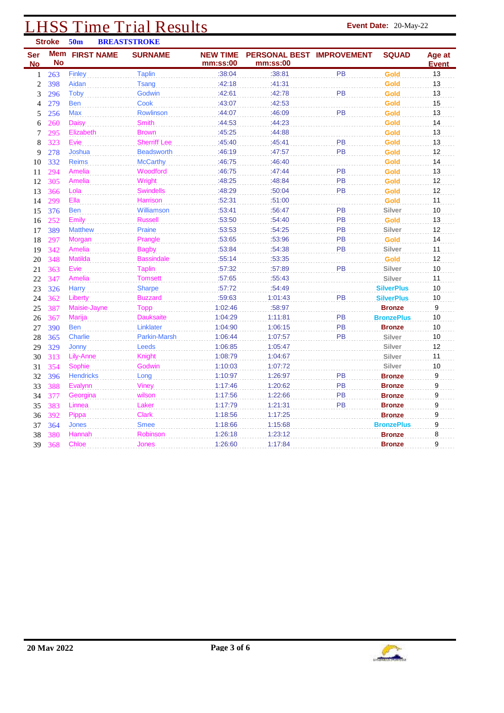| <b>Stroke</b><br>50 <sub>m</sub><br><b>BREASTSTROKE</b> |                  |                   |                     |                             |                                       |           |                   |                        |
|---------------------------------------------------------|------------------|-------------------|---------------------|-----------------------------|---------------------------------------|-----------|-------------------|------------------------|
| Ser<br><b>No</b>                                        | Mem<br><b>No</b> | <b>FIRST NAME</b> | <b>SURNAME</b>      | <b>NEW TIME</b><br>mm:ss:00 | PERSONAL BEST IMPROVEMENT<br>mm:ss:00 |           | <b>SQUAD</b>      | Age at<br><b>Event</b> |
| 1                                                       | 263              | Finley            | <b>Taplin</b>       | :38:04                      | :38:81                                | PB        | Gold              | 13                     |
| $\overline{2}$                                          | 398              | Aidan             | <b>Tsang</b>        | :42:18                      | :41:31                                |           | Gold              | 13                     |
| 3                                                       | 296              | Toby              | Godwin              | :42:61                      | :42:78                                | PB        | Gold              | 13                     |
| 4                                                       | 279              | <b>Ben</b>        | Cook                | :43:07                      | :42:53                                |           | Gold              | 15                     |
| 5                                                       | 256              | <b>Max</b>        | Rowlinson           | :44:07                      | :46:09                                | PB        | Gold              | 13                     |
| 6                                                       | 260              | <b>Daisy</b>      | <b>Smith</b>        | :44:53                      | :44:23                                |           | <b>Gold</b>       | 14                     |
| 7                                                       | 295              | Elizabeth         | <b>Brown</b>        | :45:25                      | :44:88                                |           | <b>Gold</b>       | 13                     |
| 8                                                       | 323              | Evie              | <b>Sherriff Lee</b> | :45:40                      | :45:41                                | PB        | Gold              | 13                     |
| 9                                                       | 278              | Joshua            | <b>Beadsworth</b>   | :46:19                      | :47:57                                | PB        | Gold              | 12                     |
| 10                                                      | 332              | <b>Reims</b>      | <b>McCarthy</b>     | :46:75                      | :46:40                                |           | Gold              | 14                     |
| 11                                                      | 294              | Amelia            | Woodford            | :46:75                      | :47:44                                | PB        | <b>Gold</b>       | 13                     |
| 12                                                      | 305              | Amelia            | Wright              | :48:25                      | :48:84                                | PB        | Gold              | 12                     |
| 13                                                      | 366              | Lola              | <b>Swindells</b>    | :48:29                      | :50:04                                | PB        | <b>Gold</b>       | 12                     |
| 14                                                      | 299              | Ella              | Harrison            | :52:31                      | :51:00                                |           | Gold              | 11                     |
| 15                                                      | 376              | <b>Ben</b>        | Williamson          | :53:41                      | :56:47                                | PB        | Silver            | 10                     |
| 16                                                      | 252              | Emily             | <b>Russell</b>      | :53:50                      | :54:40                                | PB        | Gold              | 13                     |
| 17                                                      | 389              | <b>Matthew</b>    | Praine              | :53:53                      | :54:25                                | PB        | Silver            | 12                     |
| 18                                                      | 297              | Morgan            | Prangle             | :53:65                      | :53:96                                | PB        | Gold              | 14                     |
| 19                                                      | 342              | Amelia            | <b>Bagby</b>        | :53:84                      | :54:38                                | <b>PB</b> | Silver            | 11                     |
| 20                                                      | 348              | <b>Matilda</b>    | <b>Bassindale</b>   | :55:14                      | :53:35                                |           | <b>Gold</b>       | 12                     |
| 21                                                      | 363              | Evie              | <b>Taplin</b>       | :57:32                      | :57:89                                | PB        | Silver            | 10                     |
| 22                                                      | 347              | <b>Amelia</b>     | <b>Tomsett</b>      | :57:65                      | :55:43                                |           | Silver            | 11                     |
| 23                                                      | 326              | <b>Harry</b>      | <b>Sharpe</b>       | :57:72                      | :54:49                                |           | <b>SilverPlus</b> | 10                     |
| 24                                                      | 362              | Liberty           | <b>Buzzard</b>      | :59:63                      | 1:01:43                               | PB        | <b>SilverPlus</b> | $10$                   |
| 25                                                      | 387              | Maisie-Jayne      | Topp                | 1:02:46                     | :58:97                                |           | <b>Bronze</b>     | 9                      |
| 26                                                      | 367              | Marija            | <b>Dauksaite</b>    | 1:04:29                     | 1:11:81                               | PB        | <b>BronzePlus</b> | 10                     |
| 27                                                      | 390              | <b>Ben</b>        | Linklater           | 1:04:90                     | 1:06:15                               | PB        | <b>Bronze</b>     | 10                     |
| 28                                                      | 365              | Charlie           | <b>Parkin-Marsh</b> | 1:06:44                     | 1:07:57                               | PB        | Silver            | 10                     |
| 29                                                      | 329              | Jonny             | Leeds               | 1:06:85                     | 1:05:47                               |           | Silver            | 12                     |
| 30                                                      | 313              | Lily-Anne         | <b>Knight</b>       | 1:08:79                     | 1:04:67                               |           | Silver            | 11                     |
| 31                                                      | 354              | Sophie            | Godwin              | 1:10:03                     | 1:07:72                               |           | Silver            | 10                     |
| 32                                                      | 396              | <b>Hendricks</b>  | Long                | 1:10:97                     | 1:26:97                               | PB        | <b>Bronze</b>     | 9                      |
| 33                                                      | 388              | Evalynn           | Viney               | 1:17:46                     | 1:20:62                               | PB        | <b>Bronze</b>     | 9                      |
| 34                                                      | 377              | Georgina          | wilson              | 1:17:56                     | 1:22:66                               | PB        | <b>Bronze</b>     | 9                      |
| 35                                                      | 383              | Linnea            | Laker               | 1:17:79                     | 1:21:31                               | PB        | <b>Bronze</b>     | 9                      |
| 36                                                      | 392              | Pippa             | <b>Clark</b>        | 1:18:56                     | 1:17:25                               |           | <b>Bronze</b>     | 9                      |
| 37                                                      | 364              | <b>Jones</b>      | <b>Smee</b>         | 1:18:66                     | 1:15:68                               |           | <b>BronzePlus</b> | 9                      |
| 38                                                      | 380              | Hannah            | <b>Robinson</b>     | 1:26:18                     | 1:23:12                               |           | <b>Bronze</b>     | 8                      |
| 39                                                      | 368              | <b>Chloe</b>      | Jones               | 1:26:60                     | 1:17:84                               |           | <b>Bronze</b>     | 9                      |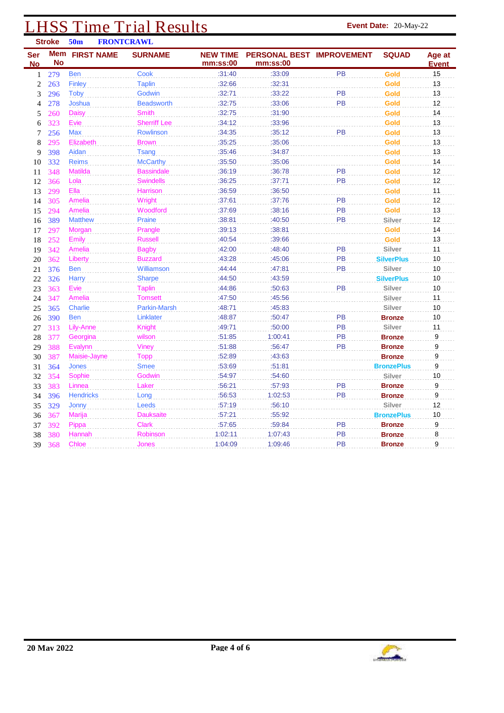|                  | <b>Stroke</b> | 50 <sub>m</sub>       | <b>FRONTCRAWL</b>   |                             |                                       |           |                   |                        |
|------------------|---------------|-----------------------|---------------------|-----------------------------|---------------------------------------|-----------|-------------------|------------------------|
| Ser<br><b>No</b> | <b>No</b>     | <b>Mem FIRST NAME</b> | <b>SURNAME</b>      | <b>NEW TIME</b><br>mm:ss:00 | PERSONAL BEST IMPROVEMENT<br>mm:ss:00 |           | <b>SQUAD</b>      | Age at<br><b>Event</b> |
| 1                | 279           | <b>Ben</b>            | Cook                | :31:40                      | :33:09                                | PB        | <b>Gold</b>       | 15                     |
| $\overline{2}$   | 263           | <b>Finley</b>         | <b>Taplin</b>       | :32:66                      | :32:31                                |           | Gold              | 13                     |
| 3                | 296           | <b>Toby</b>           | Godwin              | :32:71                      | :33:22                                | PB        | Gold              | 13                     |
| 4                | 278           | Joshua                | <b>Beadsworth</b>   | :32:75                      | :33:06                                | PB        | Gold              | 12                     |
| 5                | 260           | <b>Daisy</b>          | <b>Smith</b>        | :32:75                      | :31:90                                |           | <b>Gold</b>       | 14                     |
| 6                | 323           | Evie                  | <b>Sherriff Lee</b> | :34:12                      | :33:96                                |           | Gold              | 13                     |
| 7                | 256           | <b>Max</b>            | Rowlinson           | :34:35                      | :35:12                                | PB        | Gold              | 13                     |
| 8                | 295           | Elizabeth             | <b>Brown</b>        | :35:25                      | :35:06                                |           | <b>Gold</b>       | 13                     |
| 9                | 398           | Aidan                 | <b>Tsang</b>        | :35:46                      | :34:87                                |           | Gold              | 13                     |
| 10               | 332           | <b>Reims</b>          | <b>McCarthy</b>     | :35:50                      | :35:06                                |           | Gold              | 14                     |
| 11               | 348           | <b>Matilda</b>        | <b>Bassindale</b>   | :36:19                      | :36:78                                | PB        | <b>Gold</b>       | 12                     |
| 12               | 366           | Lola                  | <b>Swindells</b>    | :36:25                      | :37:71                                | PB        | Gold              | 12                     |
| 13               | 299           | Ella                  | <b>Harrison</b>     | :36:59                      | :36:50                                |           | <b>Gold</b>       | 11                     |
| 14               | 305           | <b>Amelia</b>         | Wright              | :37:61                      | :37:76                                | PB        | Gold              | 12                     |
| 15               | 294           | <b>Amelia</b>         | Woodford            | :37:69                      | :38:16                                | <b>PB</b> | Gold              | 13                     |
| 16               | 389           | <b>Matthew</b>        | Praine              | :38:81                      | :40:50                                | PB        | Silver            | 12                     |
| 17               | 297           | Morgan                | Prangle             | :39:13                      | :38:81                                |           | <b>Gold</b>       | 14                     |
| 18               | 252           | Emily                 | <b>Russell</b>      | :40:54                      | :39:66                                |           | Gold              | 13                     |
| 19               | 342           | <b>Amelia</b>         | <b>Bagby</b>        | :42:00                      | :48:40                                | PB        | Silver            | 11                     |
| 20               | 362           | Liberty               | <b>Buzzard</b>      | :43:28                      | :45:06                                | PB        | <b>SilverPlus</b> | 10                     |
| 21               | 376           | <b>Ben</b>            | <b>Williamson</b>   | :44:44                      | :47:81                                | PB        | <b>Silver</b>     | 10                     |
| 22               | 326           | <b>Harry</b>          | <b>Sharpe</b>       | :44:50                      | :43:59                                |           | <b>SilverPlus</b> | 10                     |
| 23               | 363           | Evie                  | <b>Taplin</b>       | :44:86                      | :50:63                                | PB        | Silver            | 10                     |
| 24               | 347           | <b>Amelia</b>         | <b>Tomsett</b>      | :47:50                      | :45:56                                |           | Silver            | 11                     |
| 25               | 365           | <b>Charlie</b>        | <b>Parkin-Marsh</b> | :48:71                      | :45:83                                |           | Silver            | 10                     |
| 26               | 390           | <b>Ben</b>            | Linklater           | :48:87                      | :50:47                                | <b>PB</b> | <b>Bronze</b>     | 10                     |
| 27               | 313           | Lily-Anne             | <b>Knight</b>       | :49:71                      | :50:00                                | PB        | Silver            | 11                     |
| 28               | 377           | Georgina              | wilson              | :51:85                      | 1:00:41                               | <b>PB</b> | <b>Bronze</b>     | 9                      |
| 29               | 388           | Evalynn               | Viney               | :51:88                      | :56:47                                | <b>PB</b> | <b>Bronze</b>     | 9                      |
| 30               | 387           | Maisie-Jayne          | <b>Topp</b>         | :52:89                      | :43:63                                |           | <b>Bronze</b>     | 9                      |
| 31               | 364           | <b>Jones</b>          | <b>Smee</b>         | :53:69                      | :51:81                                |           | <b>BronzePlus</b> | 9                      |
| 32               | 354           | Sophie                | Godwin              | :54:97                      | :54:60                                |           | Silver            | 10                     |
| 33               | 383           | Linnea                | Laker               | :56:21                      | :57:93                                | PB        | <b>Bronze</b>     | 9                      |
| 34               | 396           | <b>Hendricks</b>      | Long                | :56:53                      | 1:02:53                               | <b>PB</b> | <b>Bronze</b>     | 9                      |
| 35               | 329           | Jonny                 | Leeds               | :57:19                      | :56:10                                |           | Silver            | 12                     |
| 36               | 367           | Marija                | <b>Dauksaite</b>    | :57:21                      | :55:92                                |           | <b>BronzePlus</b> | 10                     |
| 37               | 392           | Pippa                 | <b>Clark</b>        | :57:65                      | :59:84                                | PB        | <b>Bronze</b>     | 9                      |
| 38               | 380           | Hannah                | <b>Robinson</b>     | 1:02:11                     | 1:07:43                               | <b>PB</b> | <b>Bronze</b>     | 8                      |
| 39               | 368           | <b>Chloe</b>          | Jones               | 1:04:09                     | 1:09:46                               | <b>PB</b> | <b>Bronze</b>     | 9                      |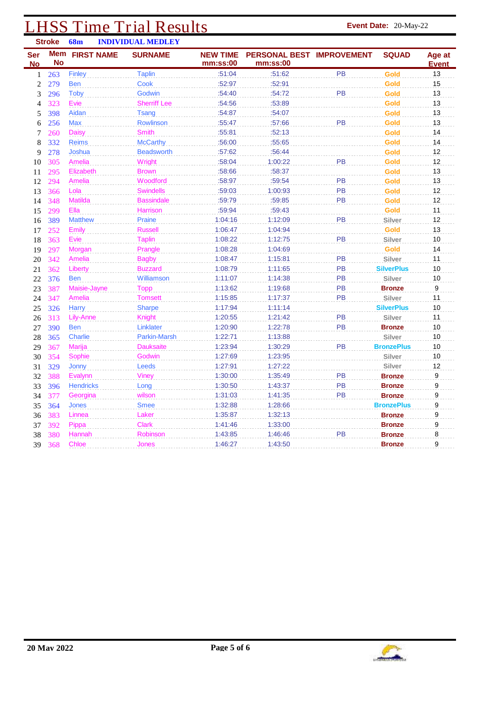| <b>Stroke</b>    |           | <b>68m</b><br><b>INDIVIDUAL MEDLEY</b> |                     |                             |                                       |           |                   |                        |
|------------------|-----------|----------------------------------------|---------------------|-----------------------------|---------------------------------------|-----------|-------------------|------------------------|
| <b>Ser</b><br>No | <b>No</b> | <b>Mem FIRST NAME</b>                  | <b>SURNAME</b>      | <b>NEW TIME</b><br>mm:ss:00 | PERSONAL BEST IMPROVEMENT<br>mm:ss:00 |           | <b>SQUAD</b>      | Age at<br><b>Event</b> |
| 1                | 263       | Finley                                 | <b>Taplin</b>       | :51:04                      | :51:62                                | PB        | <b>Gold</b>       | 13                     |
| 2                | 279       | <b>Ben</b>                             | <b>Cook</b>         | :52:97                      | :52:91                                |           | <b>Gold</b>       | 15                     |
| 3                | 296       | <b>Toby</b>                            | Godwin              | :54:40                      | :54:72                                | PB        | Gold              | 13                     |
| 4                | 323       | Evie                                   | <b>Sherriff Lee</b> | :54:56                      | :53:89                                |           | <b>Gold</b>       | 13                     |
| 5                | 398       | Aidan                                  | <b>Tsang</b>        | :54:87                      | :54:07                                |           | <b>Gold</b>       | 13                     |
| 6                | 256       | <b>Max</b>                             | Rowlinson           | :55:47                      | :57:66                                | PB        | Gold              | 13                     |
| 7                | 260       | <b>Daisy</b>                           | <b>Smith</b>        | :55:81                      | :52:13                                |           | Gold              | 14                     |
| 8                | 332       | <b>Reims</b>                           | <b>McCarthy</b>     | :56:00                      | :55:65                                |           | Gold              | 14                     |
| 9                | 278       | Joshua                                 | <b>Beadsworth</b>   | :57:62                      | :56:44                                |           | Gold              | 12                     |
| 10               | 305       | Amelia                                 | Wright              | :58:04                      | 1:00:22                               | PB        | Gold              | 12                     |
| 11               | 295       | Elizabeth                              | <b>Brown</b>        | :58:66                      | :58:37                                |           | Gold              | 13                     |
| 12               | 294       | Amelia                                 | Woodford            | :58:97                      | :59:54                                | PB        | <b>Gold</b>       | 13                     |
| 13               | 366       | Lola                                   | <b>Swindells</b>    | :59:03                      | 1:00:93                               | PB        | Gold              | 12                     |
| 14               | 348       | <b>Matilda</b>                         | <b>Bassindale</b>   | :59:79                      | :59:85                                | PB        | <b>Gold</b>       | 12                     |
| 15               | 299       | Ella                                   | Harrison            | :59:94                      | :59:43                                |           | <b>Gold</b>       | 11                     |
| 16               | 389       | <b>Matthew</b>                         | Praine              | 1:04:16                     | 1:12:09                               | PB        | Silver            | 12                     |
| 17               | 252       | Emily                                  | <b>Russell</b>      | 1:06:47                     | 1:04:94                               |           | Gold              | 13                     |
| 18               | 363       | Evie                                   | <b>Taplin</b>       | 1:08:22                     | 1:12:75                               | PB        | Silver            | 10                     |
| 19               | 297       | Morgan                                 | Prangle             | 1:08:28                     | 1:04:69                               |           | <b>Gold</b>       | 14                     |
| 20               | 342       | Amelia                                 | <b>Bagby</b>        | 1:08:47                     | 1:15:81                               | PB        | Silver            | 11                     |
| 21               | 362       | Liberty                                | <b>Buzzard</b>      | 1:08:79                     | 1:11:65                               | <b>PB</b> | <b>SilverPlus</b> | 10                     |
| 22               | 376       | <b>Ben</b>                             | Williamson          | 1:11:07                     | 1:14:38                               | PB        | Silver            | 10                     |
| 23               | 387       | Maisie-Jayne                           | <b>Topp</b>         | 1:13:62                     | 1:19:68                               | PB        | <b>Bronze</b>     | $\boldsymbol{9}$       |
| 24               | 347       | Amelia                                 | <b>Tomsett</b>      | 1:15:85                     | 1:17:37                               | PB        | Silver            | 11                     |
| 25               | 326       | <b>Harry</b>                           | <b>Sharpe</b>       | 1:17:94                     | 1:11:14                               |           | <b>SilverPlus</b> | 10                     |
| 26               | 313       | Lily-Anne                              | Knight              | 1:20:55                     | 1:21:42                               | PB        | Silver            | 11                     |
| 27               | 390       | <b>Ben</b>                             | Linklater           | 1:20:90                     | 1:22:78                               | PB        | <b>Bronze</b>     | 10                     |
| 28               | 365       | <b>Charlie</b>                         | Parkin-Marsh        | 1:22:71                     | 1:13:88                               |           | Silver            | 10                     |
| 29               | 367       | Marija                                 | <b>Dauksaite</b>    | 1:23:94                     | 1:30:29                               | PB        | <b>BronzePlus</b> | 10                     |
| 30               | 354       | Sophie                                 | Godwin              | 1:27:69                     | 1:23:95                               |           | Silver            | 10                     |
| 31               | 329       | Jonny                                  | Leeds               | 1:27:91                     | 1:27:22                               |           | Silver            | 12                     |
| 32               | 388       | Evalynn                                | Viney               | 1:30:00                     | 1:35:49                               | <b>PB</b> | <b>Bronze</b>     | 9                      |
| 33               | 396       | <b>Hendricks</b>                       | Long                | 1:30:50                     | 1:43:37                               | PB        | <b>Bronze</b>     | 9                      |
| 34               | 377       | Georgina                               | wilson              | 1:31:03                     | 1:41:35                               | <b>PB</b> | <b>Bronze</b>     | 9                      |
| 35               | 364       | <b>Jones</b>                           | <b>Smee</b>         | 1:32:88                     | 1:28:66                               |           | <b>BronzePlus</b> | 9                      |
| 36               | 383       | Linnea                                 | Laker               | 1:35:87                     | 1:32:13                               |           | <b>Bronze</b>     | 9                      |
| 37               | 392       | Pippa                                  | <b>Clark</b>        | 1:41:46                     | 1:33:00                               |           | <b>Bronze</b>     | 9                      |
| 38               | 380       | Hannah                                 | Robinson            | 1:43:85                     | 1:46:46                               | <b>PB</b> | <b>Bronze</b>     | 8                      |
| 39               | 368       | <b>Chloe</b>                           | <b>Jones</b>        | 1:46:27                     | 1:43:50                               |           | <b>Bronze</b>     | 9                      |